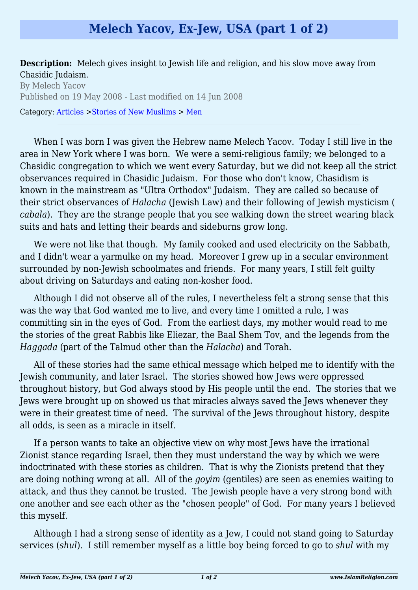## **Melech Yacov, Ex-Jew, USA (part 1 of 2)**

**Description:** Melech gives insight to Jewish life and religion, and his slow move away from Chasidic Judaism.

By Melech Yacov Published on 19 May 2008 - Last modified on 14 Jun 2008 Category: [Articles](http://www.islamreligion.com/articles/) >[Stories of New Muslims](http://www.islamreligion.com/category/63/) > [Men](http://www.islamreligion.com/category/64/)

When I was born I was given the Hebrew name Melech Yacov. Today I still live in the area in New York where I was born. We were a semi-religious family; we belonged to a Chasidic congregation to which we went every Saturday, but we did not keep all the strict observances required in Chasidic Judaism. For those who don't know, Chasidism is known in the mainstream as "Ultra Orthodox" Judaism. They are called so because of their strict observances of *Halacha* (Jewish Law) and their following of Jewish mysticism ( *cabala*). They are the strange people that you see walking down the street wearing black suits and hats and letting their beards and sideburns grow long.

We were not like that though. My family cooked and used electricity on the Sabbath, and I didn't wear a varmulke on my head. Moreover I grew up in a secular environment surrounded by non-Jewish schoolmates and friends. For many years, I still felt guilty about driving on Saturdays and eating non-kosher food.

Although I did not observe all of the rules, I nevertheless felt a strong sense that this was the way that God wanted me to live, and every time I omitted a rule, I was committing sin in the eyes of God. From the earliest days, my mother would read to me the stories of the great Rabbis like Eliezar, the Baal Shem Tov, and the legends from the *Haggada* (part of the Talmud other than the *Halacha*) and Torah.

All of these stories had the same ethical message which helped me to identify with the Jewish community, and later Israel. The stories showed how Jews were oppressed throughout history, but God always stood by His people until the end. The stories that we Jews were brought up on showed us that miracles always saved the Jews whenever they were in their greatest time of need. The survival of the Jews throughout history, despite all odds, is seen as a miracle in itself.

If a person wants to take an objective view on why most Jews have the irrational Zionist stance regarding Israel, then they must understand the way by which we were indoctrinated with these stories as children. That is why the Zionists pretend that they are doing nothing wrong at all. All of the *goyim* (gentiles) are seen as enemies waiting to attack, and thus they cannot be trusted. The Jewish people have a very strong bond with one another and see each other as the "chosen people" of God. For many years I believed this myself.

Although I had a strong sense of identity as a Jew, I could not stand going to Saturday services (*shul*). I still remember myself as a little boy being forced to go to *shul* with my